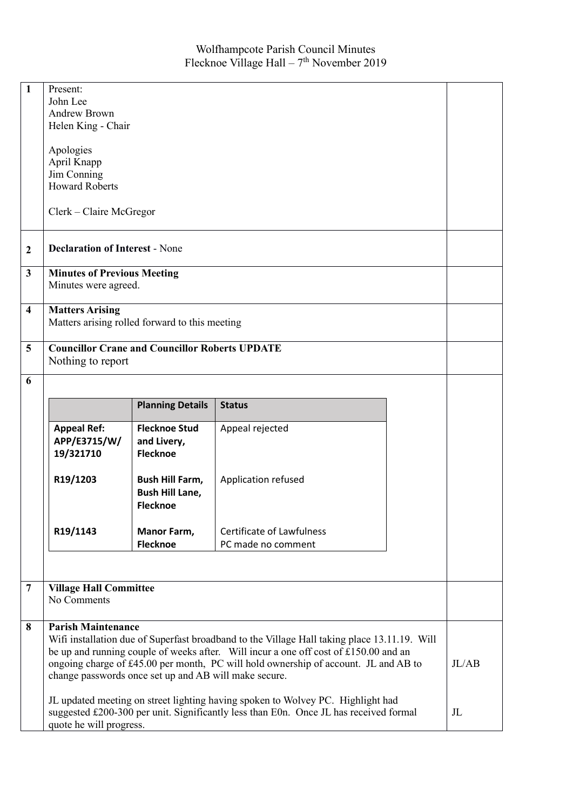| 1                       | Present:<br>John Lee<br><b>Andrew Brown</b><br>Helen King - Chair                                                                                                                                                                                                                                                                                                 |                                                                     |                                  |  |             |
|-------------------------|-------------------------------------------------------------------------------------------------------------------------------------------------------------------------------------------------------------------------------------------------------------------------------------------------------------------------------------------------------------------|---------------------------------------------------------------------|----------------------------------|--|-------------|
|                         | Apologies<br>April Knapp                                                                                                                                                                                                                                                                                                                                          |                                                                     |                                  |  |             |
|                         | Jim Conning<br><b>Howard Roberts</b>                                                                                                                                                                                                                                                                                                                              |                                                                     |                                  |  |             |
|                         |                                                                                                                                                                                                                                                                                                                                                                   |                                                                     |                                  |  |             |
|                         | $Clerk - Claire McGregor$                                                                                                                                                                                                                                                                                                                                         |                                                                     |                                  |  |             |
| $\boldsymbol{2}$        | <b>Declaration of Interest - None</b>                                                                                                                                                                                                                                                                                                                             |                                                                     |                                  |  |             |
| 3                       | <b>Minutes of Previous Meeting</b><br>Minutes were agreed.                                                                                                                                                                                                                                                                                                        |                                                                     |                                  |  |             |
| $\overline{\mathbf{4}}$ | <b>Matters Arising</b><br>Matters arising rolled forward to this meeting                                                                                                                                                                                                                                                                                          |                                                                     |                                  |  |             |
| 5                       | <b>Councillor Crane and Councillor Roberts UPDATE</b><br>Nothing to report                                                                                                                                                                                                                                                                                        |                                                                     |                                  |  |             |
| 6                       |                                                                                                                                                                                                                                                                                                                                                                   |                                                                     |                                  |  |             |
|                         |                                                                                                                                                                                                                                                                                                                                                                   | <b>Planning Details</b>                                             | <b>Status</b>                    |  |             |
|                         | <b>Appeal Ref:</b><br>APP/E3715/W/<br>19/321710                                                                                                                                                                                                                                                                                                                   | <b>Flecknoe Stud</b><br>and Livery,<br><b>Flecknoe</b>              | Appeal rejected                  |  |             |
|                         | R19/1203                                                                                                                                                                                                                                                                                                                                                          | <b>Bush Hill Farm,</b><br><b>Bush Hill Lane,</b><br><b>Flecknoe</b> | Application refused              |  |             |
|                         | R19/1143                                                                                                                                                                                                                                                                                                                                                          | <b>Manor Farm,</b>                                                  | <b>Certificate of Lawfulness</b> |  |             |
|                         |                                                                                                                                                                                                                                                                                                                                                                   | <b>Flecknoe</b>                                                     | PC made no comment               |  |             |
|                         |                                                                                                                                                                                                                                                                                                                                                                   |                                                                     |                                  |  |             |
| $\overline{7}$          | <b>Village Hall Committee</b><br>No Comments                                                                                                                                                                                                                                                                                                                      |                                                                     |                                  |  |             |
| 8                       | <b>Parish Maintenance</b><br>Wifi installation due of Superfast broadband to the Village Hall taking place 13.11.19. Will<br>be up and running couple of weeks after. Will incur a one off cost of £150.00 and an<br>ongoing charge of £45.00 per month, PC will hold ownership of account. JL and AB to<br>change passwords once set up and AB will make secure. |                                                                     |                                  |  | JL/AB       |
|                         | JL updated meeting on street lighting having spoken to Wolvey PC. Highlight had<br>suggested £200-300 per unit. Significantly less than E0n. Once JL has received formal<br>quote he will progress.                                                                                                                                                               |                                                                     |                                  |  | $J_{\rm L}$ |